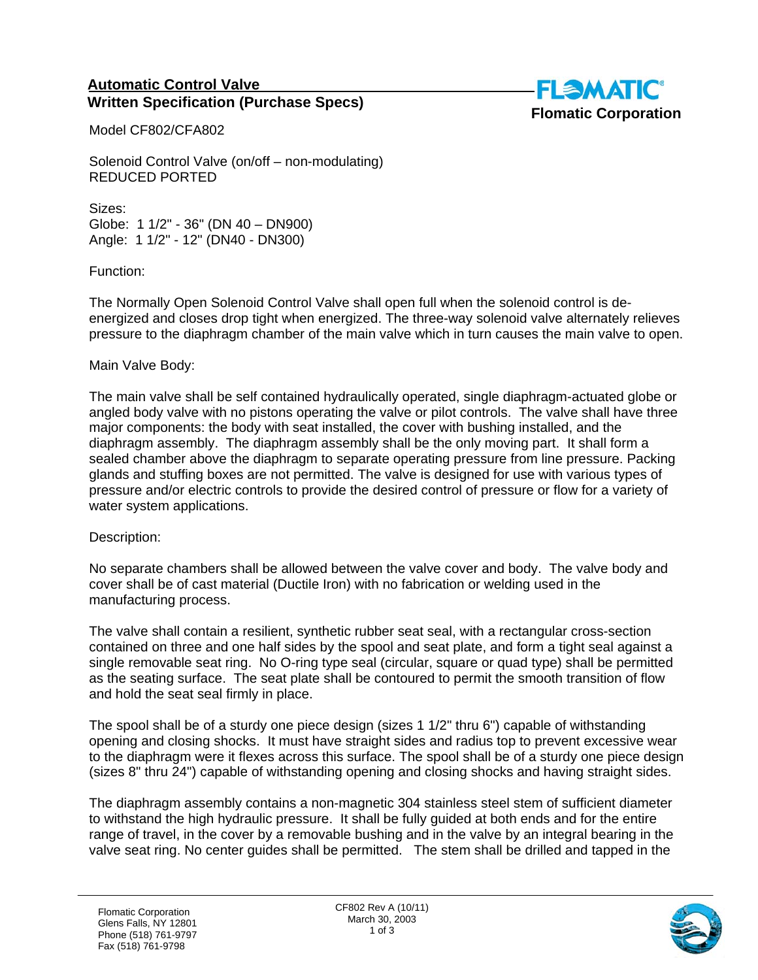## **Automatic Control Valve Written Specification (Purchase Specs)**



Model CF802/CFA802

Solenoid Control Valve (on/off – non-modulating) REDUCED PORTED

Sizes: Globe: 1 1/2" - 36" (DN 40 – DN900) Angle: 1 1/2" - 12" (DN40 - DN300)

Function:

The Normally Open Solenoid Control Valve shall open full when the solenoid control is deenergized and closes drop tight when energized. The three-way solenoid valve alternately relieves pressure to the diaphragm chamber of the main valve which in turn causes the main valve to open.

## Main Valve Body:

The main valve shall be self contained hydraulically operated, single diaphragm-actuated globe or angled body valve with no pistons operating the valve or pilot controls. The valve shall have three major components: the body with seat installed, the cover with bushing installed, and the diaphragm assembly. The diaphragm assembly shall be the only moving part. It shall form a sealed chamber above the diaphragm to separate operating pressure from line pressure. Packing glands and stuffing boxes are not permitted. The valve is designed for use with various types of pressure and/or electric controls to provide the desired control of pressure or flow for a variety of water system applications.

## Description:

No separate chambers shall be allowed between the valve cover and body. The valve body and cover shall be of cast material (Ductile Iron) with no fabrication or welding used in the manufacturing process.

The valve shall contain a resilient, synthetic rubber seat seal, with a rectangular cross-section contained on three and one half sides by the spool and seat plate, and form a tight seal against a single removable seat ring. No O-ring type seal (circular, square or quad type) shall be permitted as the seating surface. The seat plate shall be contoured to permit the smooth transition of flow and hold the seat seal firmly in place.

The spool shall be of a sturdy one piece design (sizes 1 1/2" thru 6") capable of withstanding opening and closing shocks. It must have straight sides and radius top to prevent excessive wear to the diaphragm were it flexes across this surface. The spool shall be of a sturdy one piece design (sizes 8" thru 24") capable of withstanding opening and closing shocks and having straight sides.

The diaphragm assembly contains a non-magnetic 304 stainless steel stem of sufficient diameter to withstand the high hydraulic pressure. It shall be fully guided at both ends and for the entire range of travel, in the cover by a removable bushing and in the valve by an integral bearing in the valve seat ring. No center guides shall be permitted. The stem shall be drilled and tapped in the

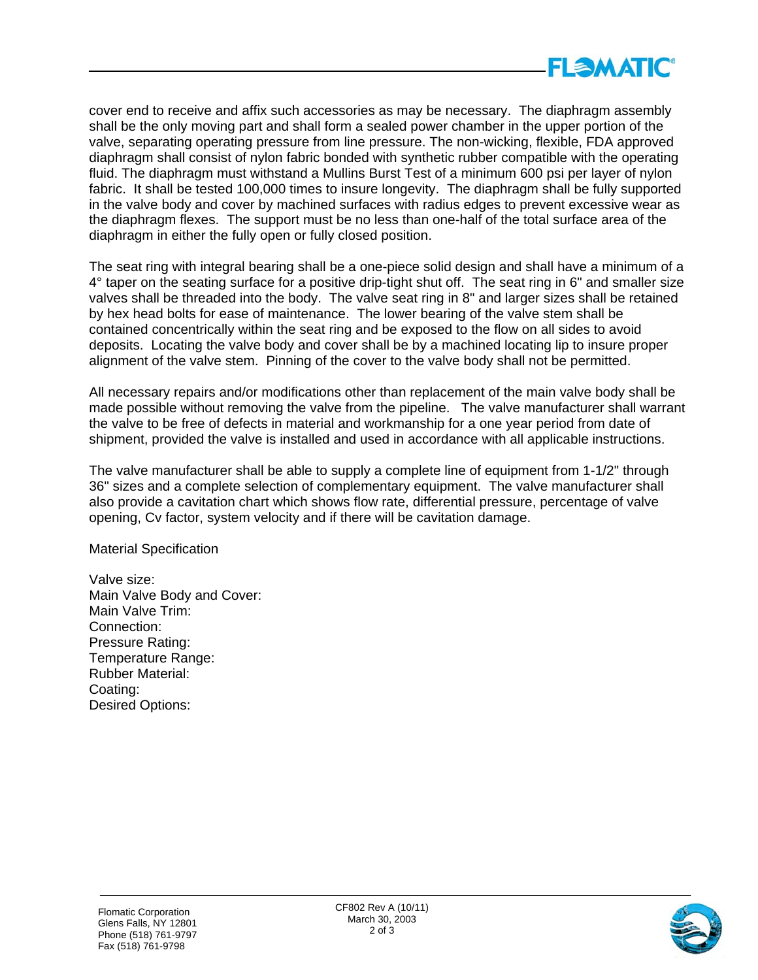

cover end to receive and affix such accessories as may be necessary. The diaphragm assembly shall be the only moving part and shall form a sealed power chamber in the upper portion of the valve, separating operating pressure from line pressure. The non-wicking, flexible, FDA approved diaphragm shall consist of nylon fabric bonded with synthetic rubber compatible with the operating fluid. The diaphragm must withstand a Mullins Burst Test of a minimum 600 psi per layer of nylon fabric. It shall be tested 100,000 times to insure longevity. The diaphragm shall be fully supported in the valve body and cover by machined surfaces with radius edges to prevent excessive wear as the diaphragm flexes. The support must be no less than one-half of the total surface area of the diaphragm in either the fully open or fully closed position.

The seat ring with integral bearing shall be a one-piece solid design and shall have a minimum of a 4° taper on the seating surface for a positive drip-tight shut off. The seat ring in 6" and smaller size valves shall be threaded into the body. The valve seat ring in 8" and larger sizes shall be retained by hex head bolts for ease of maintenance. The lower bearing of the valve stem shall be contained concentrically within the seat ring and be exposed to the flow on all sides to avoid deposits. Locating the valve body and cover shall be by a machined locating lip to insure proper alignment of the valve stem. Pinning of the cover to the valve body shall not be permitted.

All necessary repairs and/or modifications other than replacement of the main valve body shall be made possible without removing the valve from the pipeline. The valve manufacturer shall warrant the valve to be free of defects in material and workmanship for a one year period from date of shipment, provided the valve is installed and used in accordance with all applicable instructions.

The valve manufacturer shall be able to supply a complete line of equipment from 1-1/2" through 36" sizes and a complete selection of complementary equipment. The valve manufacturer shall also provide a cavitation chart which shows flow rate, differential pressure, percentage of valve opening, Cv factor, system velocity and if there will be cavitation damage.

Material Specification

Valve size: Main Valve Body and Cover: Main Valve Trim: Connection: Pressure Rating: Temperature Range: Rubber Material: Coating: Desired Options: